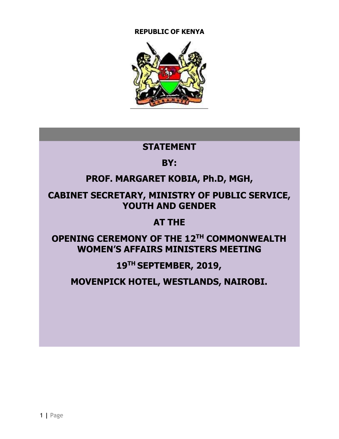#### **REPUBLIC OF KENYA**



### **STATEMENT**

# **BY:**

# **PROF. MARGARET KOBIA, Ph.D, MGH,**

# **CABINET SECRETARY, MINISTRY OF PUBLIC SERVICE, YOUTH AND GENDER**

### **AT THE**

# **OPENING CEREMONY OF THE 12TH COMMONWEALTH WOMEN'S AFFAIRS MINISTERS MEETING**

# **19TH SEPTEMBER, 2019,**

# **MOVENPICK HOTEL, WESTLANDS, NAIROBI.**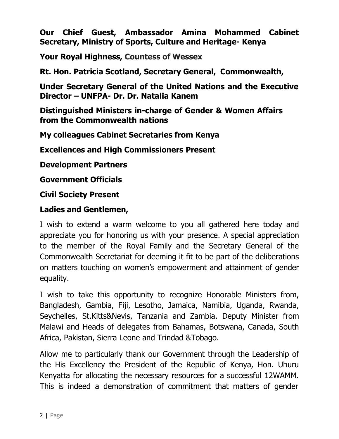**Our Chief Guest, Ambassador Amina Mohammed Cabinet Secretary, Ministry of Sports, Culture and Heritage- Kenya**

**Your Royal Highness, Countess of Wessex**

**Rt. Hon. Patricia Scotland, Secretary General, Commonwealth,**

**Under Secretary General of the United Nations and the Executive Director – UNFPA- Dr. Dr. Natalia Kanem**

**Distinguished Ministers in-charge of Gender & Women Affairs from the Commonwealth nations**

**My colleagues Cabinet Secretaries from Kenya**

**Excellences and High Commissioners Present**

**Development Partners**

**Government Officials**

**Civil Society Present**

#### **Ladies and Gentlemen,**

I wish to extend a warm welcome to you all gathered here today and appreciate you for honoring us with your presence. A special appreciation to the member of the Royal Family and the Secretary General of the Commonwealth Secretariat for deeming it fit to be part of the deliberations on matters touching on women's empowerment and attainment of gender equality.

I wish to take this opportunity to recognize Honorable Ministers from, Bangladesh, Gambia, Fiji, Lesotho, Jamaica, Namibia, Uganda, Rwanda, Seychelles, St.Kitts&Nevis, Tanzania and Zambia. Deputy Minister from Malawi and Heads of delegates from Bahamas, Botswana, Canada, South Africa, Pakistan, Sierra Leone and Trindad &Tobago.

Allow me to particularly thank our Government through the Leadership of the His Excellency the President of the Republic of Kenya, Hon. Uhuru Kenyatta for allocating the necessary resources for a successful 12WAMM. This is indeed a demonstration of commitment that matters of gender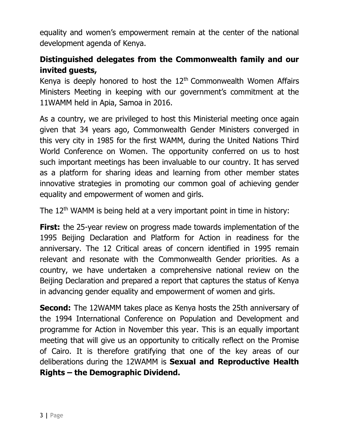equality and women's empowerment remain at the center of the national development agenda of Kenya.

### **Distinguished delegates from the Commonwealth family and our invited guests,**

Kenya is deeply honored to host the  $12<sup>th</sup>$  Commonwealth Women Affairs Ministers Meeting in keeping with our government's commitment at the 11WAMM held in Apia, Samoa in 2016.

As a country, we are privileged to host this Ministerial meeting once again given that 34 years ago, Commonwealth Gender Ministers converged in this very city in 1985 for the first WAMM, during the United Nations Third World Conference on Women. The opportunity conferred on us to host such important meetings has been invaluable to our country. It has served as a platform for sharing ideas and learning from other member states innovative strategies in promoting our common goal of achieving gender equality and empowerment of women and girls.

The  $12<sup>th</sup>$  WAMM is being held at a very important point in time in history:

**First:** the 25-year review on progress made towards implementation of the 1995 Beijing Declaration and Platform for Action in readiness for the anniversary. The 12 Critical areas of concern identified in 1995 remain relevant and resonate with the Commonwealth Gender priorities. As a country, we have undertaken a comprehensive national review on the Beijing Declaration and prepared a report that captures the status of Kenya in advancing gender equality and empowerment of women and girls.

**Second:** The 12WAMM takes place as Kenya hosts the 25th anniversary of the 1994 International Conference on Population and Development and programme for Action in November this year. This is an equally important meeting that will give us an opportunity to critically reflect on the Promise of Cairo. It is therefore gratifying that one of the key areas of our deliberations during the 12WAMM is **Sexual and Reproductive Health Rights – the Demographic Dividend.**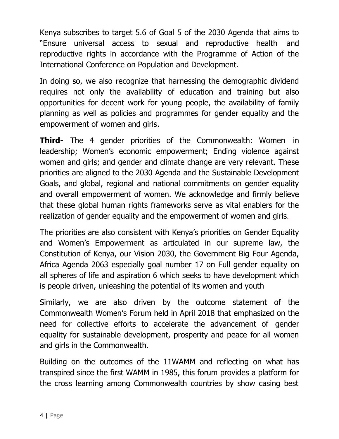Kenya subscribes to target 5.6 of Goal 5 of the 2030 Agenda that aims to "Ensure universal access to sexual and reproductive health and reproductive rights in accordance with the Programme of Action of the International Conference on Population and Development.

In doing so, we also recognize that harnessing the demographic dividend requires not only the availability of education and training but also opportunities for decent work for young people, the availability of family planning as well as policies and programmes for gender equality and the empowerment of women and girls.

**Third-** The 4 gender priorities of the Commonwealth: Women in leadership; Women's economic empowerment; Ending violence against women and girls; and gender and climate change are very relevant. These priorities are aligned to the 2030 Agenda and the Sustainable Development Goals, and global, regional and national commitments on gender equality and overall empowerment of women. We acknowledge and firmly believe that these global human rights frameworks serve as vital enablers for the realization of gender equality and the empowerment of women and girls.

The priorities are also consistent with Kenya's priorities on Gender Equality and Women's Empowerment as articulated in our supreme law, the Constitution of Kenya, our Vision 2030, the Government Big Four Agenda, Africa Agenda 2063 especially goal number 17 on Full gender equality on all spheres of life and aspiration 6 which seeks to have development which is people driven, unleashing the potential of its women and youth

Similarly, we are also driven by the outcome statement of the Commonwealth Women's Forum held in April 2018 that emphasized on the need for collective efforts to accelerate the advancement of gender equality for sustainable development, prosperity and peace for all women and girls in the Commonwealth.

Building on the outcomes of the 11WAMM and reflecting on what has transpired since the first WAMM in 1985, this forum provides a platform for the cross learning among Commonwealth countries by show casing best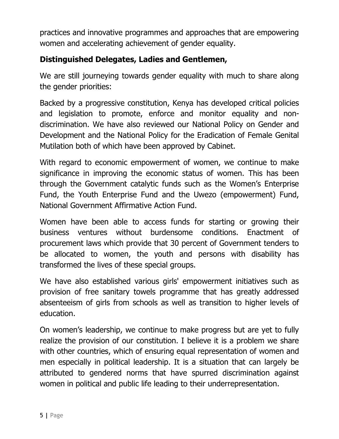practices and innovative programmes and approaches that are empowering women and accelerating achievement of gender equality.

### **Distinguished Delegates, Ladies and Gentlemen,**

We are still journeying towards gender equality with much to share along the gender priorities:

Backed by a progressive constitution, Kenya has developed critical policies and legislation to promote, enforce and monitor equality and nondiscrimination. We have also reviewed our National Policy on Gender and Development and the National Policy for the Eradication of Female Genital Mutilation both of which have been approved by Cabinet.

With regard to economic empowerment of women, we continue to make significance in improving the economic status of women. This has been through the Government catalytic funds such as the Women's Enterprise Fund, the Youth Enterprise Fund and the Uwezo (empowerment) Fund, National Government Affirmative Action Fund.

Women have been able to access funds for starting or growing their business ventures without burdensome conditions. Enactment of procurement laws which provide that 30 percent of Government tenders to be allocated to women, the youth and persons with disability has transformed the lives of these special groups.

We have also established various girls' empowerment initiatives such as provision of free sanitary towels programme that has greatly addressed absenteeism of girls from schools as well as transition to higher levels of education.

On women's leadership, we continue to make progress but are yet to fully realize the provision of our constitution. I believe it is a problem we share with other countries, which of ensuring equal representation of women and men especially in political leadership. It is a situation that can largely be attributed to gendered norms that have spurred discrimination against women in political and public life leading to their underrepresentation.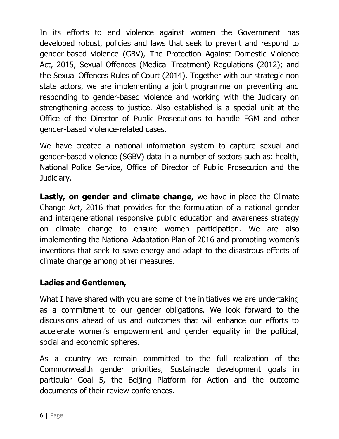In its efforts to end violence against women the Government has developed robust, policies and laws that seek to prevent and respond to gender-based violence (GBV), The Protection Against Domestic Violence Act, 2015, Sexual Offences (Medical Treatment) Regulations (2012); and the Sexual Offences Rules of Court (2014). Together with our strategic non state actors, we are implementing a joint programme on preventing and responding to gender-based violence and working with the Judicary on strengthening access to justice. Also established is a special unit at the Office of the Director of Public Prosecutions to handle FGM and other gender-based violence-related cases.

We have created a national information system to capture sexual and gender-based violence (SGBV) data in a number of sectors such as: health, National Police Service, Office of Director of Public Prosecution and the Judiciary.

**Lastly, on gender and climate change,** we have in place the Climate Change Act, 2016 that provides for the formulation of a national gender and intergenerational responsive public education and awareness strategy on climate change to ensure women participation. We are also implementing the National Adaptation Plan of 2016 and promoting women's inventions that seek to save energy and adapt to the disastrous effects of climate change among other measures.

### **Ladies and Gentlemen,**

What I have shared with you are some of the initiatives we are undertaking as a commitment to our gender obligations. We look forward to the discussions ahead of us and outcomes that will enhance our efforts to accelerate women's empowerment and gender equality in the political, social and economic spheres.

As a country we remain committed to the full realization of the Commonwealth gender priorities, Sustainable development goals in particular Goal 5, the Beijing Platform for Action and the outcome documents of their review conferences.